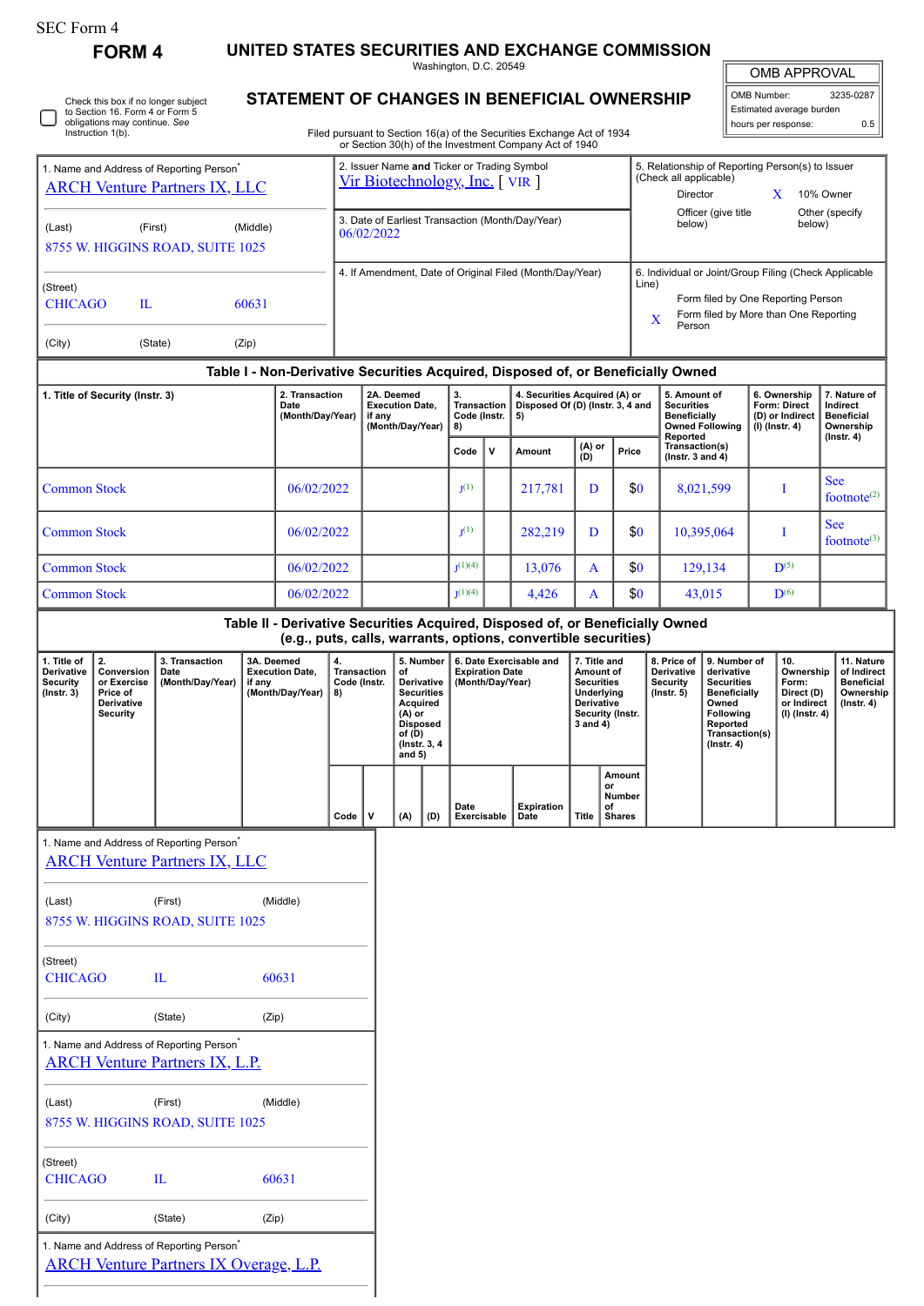| SEC Form 4 |  |
|------------|--|
|------------|--|

**FORM 4 UNITED STATES SECURITIES AND EXCHANGE COMMISSION**

Washington, D.C. 20549

## **STATEMENT OF CHANGES IN BENEFICIAL OWNERSHIP**

Filed pursuant to Section 16(a) of the Securities Exchange Act of 1934 or Section 30(h) of the Investment Company Act of 1940

| <b>OMB APPROVAL</b>             |           |  |  |  |  |  |
|---------------------------------|-----------|--|--|--|--|--|
| OMB Number:                     | 3235-0287 |  |  |  |  |  |
| External and company to contrar |           |  |  |  |  |  |

| Estimated average burden<br>hours per response: | 0.5 |
|-------------------------------------------------|-----|
|                                                 |     |

|                                                           |                                                                              | 1. Name and Address of Reporting Person <sup>*</sup>                                                  |                |                                                          |                                                |                                                                    |                                                                | 2. Issuer Name and Ticker or Trading Symbol                                                                                          |                                            |                                                                         | or Section 30(h) of the Investment Company Act of 1940                           |                                                                                                                       |                                                      |                                                                                                                                                                                                             |                                                                                    | 5. Relationship of Reporting Person(s) to Issuer                           |                                                                          |                                                                                 |                              |  |
|-----------------------------------------------------------|------------------------------------------------------------------------------|-------------------------------------------------------------------------------------------------------|----------------|----------------------------------------------------------|------------------------------------------------|--------------------------------------------------------------------|----------------------------------------------------------------|--------------------------------------------------------------------------------------------------------------------------------------|--------------------------------------------|-------------------------------------------------------------------------|----------------------------------------------------------------------------------|-----------------------------------------------------------------------------------------------------------------------|------------------------------------------------------|-------------------------------------------------------------------------------------------------------------------------------------------------------------------------------------------------------------|------------------------------------------------------------------------------------|----------------------------------------------------------------------------|--------------------------------------------------------------------------|---------------------------------------------------------------------------------|------------------------------|--|
| <b>ARCH Venture Partners IX, LLC</b>                      |                                                                              |                                                                                                       |                |                                                          |                                                | Vir Biotechnology, Inc. [VIR]                                      |                                                                |                                                                                                                                      |                                            |                                                                         |                                                                                  |                                                                                                                       |                                                      | (Check all applicable)<br>10% Owner<br>Director<br>X<br>Officer (give title<br>Other (specify                                                                                                               |                                                                                    |                                                                            |                                                                          |                                                                                 |                              |  |
| (Last)                                                    |                                                                              | (First)<br>8755 W. HIGGINS ROAD, SUITE 1025                                                           | (Middle)       |                                                          |                                                |                                                                    | 3. Date of Earliest Transaction (Month/Day/Year)<br>06/02/2022 |                                                                                                                                      |                                            |                                                                         |                                                                                  |                                                                                                                       |                                                      |                                                                                                                                                                                                             | below)                                                                             |                                                                            |                                                                          | below)                                                                          |                              |  |
|                                                           |                                                                              |                                                                                                       |                |                                                          |                                                | 4. If Amendment, Date of Original Filed (Month/Day/Year)           |                                                                |                                                                                                                                      |                                            |                                                                         |                                                                                  |                                                                                                                       |                                                      | 6. Individual or Joint/Group Filing (Check Applicable                                                                                                                                                       |                                                                                    |                                                                            |                                                                          |                                                                                 |                              |  |
| (Street)<br>$\mathbf{L}$<br><b>CHICAGO</b><br>60631       |                                                                              |                                                                                                       |                |                                                          |                                                |                                                                    |                                                                |                                                                                                                                      |                                            |                                                                         |                                                                                  | Line)<br>Form filed by One Reporting Person<br>Form filed by More than One Reporting<br>X                             |                                                      |                                                                                                                                                                                                             |                                                                                    |                                                                            |                                                                          |                                                                                 |                              |  |
| (City)                                                    |                                                                              | (State)                                                                                               | (Zip)          |                                                          |                                                |                                                                    |                                                                |                                                                                                                                      |                                            |                                                                         |                                                                                  |                                                                                                                       |                                                      |                                                                                                                                                                                                             | Person                                                                             |                                                                            |                                                                          |                                                                                 |                              |  |
|                                                           |                                                                              |                                                                                                       |                |                                                          |                                                |                                                                    |                                                                |                                                                                                                                      |                                            |                                                                         | Table I - Non-Derivative Securities Acquired, Disposed of, or Beneficially Owned |                                                                                                                       |                                                      |                                                                                                                                                                                                             |                                                                                    |                                                                            |                                                                          |                                                                                 |                              |  |
| 1. Title of Security (Instr. 3)<br>Date                   |                                                                              |                                                                                                       | 2. Transaction | (Month/Day/Year)                                         |                                                | 2A. Deemed<br><b>Execution Date,</b><br>if any<br>(Month/Day/Year) |                                                                | 3.<br><b>Transaction</b><br>Code (Instr.<br>8)                                                                                       |                                            | 4. Securities Acquired (A) or<br>Disposed Of (D) (Instr. 3, 4 and<br>5) |                                                                                  |                                                                                                                       |                                                      |                                                                                                                                                                                                             | 5. Amount of<br><b>Securities</b><br><b>Beneficially</b><br><b>Owned Following</b> |                                                                            | 6. Ownership<br><b>Form: Direct</b><br>(D) or Indirect<br>(I) (Instr. 4) | 7. Nature of<br>Indirect<br><b>Beneficial</b><br>Ownership                      |                              |  |
|                                                           |                                                                              |                                                                                                       |                |                                                          |                                                |                                                                    |                                                                |                                                                                                                                      |                                            | v                                                                       | Amount                                                                           | $(A)$ or<br>$(D)$                                                                                                     | Price                                                |                                                                                                                                                                                                             | Reported<br>Transaction(s)<br>( $lnstr. 3 and 4$ )                                 |                                                                            |                                                                          |                                                                                 | (Instr. 4)                   |  |
| <b>Common Stock</b>                                       |                                                                              |                                                                                                       |                | 06/02/2022                                               |                                                |                                                                    |                                                                | I <sub>1</sub> (1)                                                                                                                   |                                            | 217,781                                                                 | D                                                                                |                                                                                                                       | \$0                                                  | 8,021,599                                                                                                                                                                                                   |                                                                                    | I                                                                          |                                                                          | <b>See</b><br>footnote <sup>(2)</sup>                                           |                              |  |
| <b>Common Stock</b>                                       |                                                                              |                                                                                                       |                | 06/02/2022                                               |                                                |                                                                    |                                                                |                                                                                                                                      | I <sub>1</sub> (1)                         |                                                                         | 282,219                                                                          | D                                                                                                                     |                                                      | \$0                                                                                                                                                                                                         |                                                                                    | 10,395,064                                                                 |                                                                          | I                                                                               | <b>See</b><br>footnote $(3)$ |  |
| <b>Common Stock</b>                                       |                                                                              |                                                                                                       |                | 06/02/2022                                               |                                                |                                                                    |                                                                |                                                                                                                                      | $I^{(1)(4)}$                               |                                                                         | 13,076                                                                           | A                                                                                                                     |                                                      | \$0                                                                                                                                                                                                         | 129,134                                                                            |                                                                            | $\mathbf{D}^{(5)}$                                                       |                                                                                 |                              |  |
| <b>Common Stock</b>                                       |                                                                              |                                                                                                       |                | 06/02/2022                                               |                                                |                                                                    |                                                                |                                                                                                                                      | $I^{(1)(4)}$                               |                                                                         | 4,426                                                                            | A                                                                                                                     |                                                      | \$0                                                                                                                                                                                                         |                                                                                    | 43,015                                                                     | $\mathbf{D}^{(6)}$                                                       |                                                                                 |                              |  |
|                                                           |                                                                              |                                                                                                       |                |                                                          |                                                |                                                                    |                                                                |                                                                                                                                      |                                            |                                                                         | Table II - Derivative Securities Acquired, Disposed of, or Beneficially Owned    |                                                                                                                       |                                                      |                                                                                                                                                                                                             |                                                                                    |                                                                            |                                                                          |                                                                                 |                              |  |
|                                                           |                                                                              |                                                                                                       |                |                                                          |                                                |                                                                    |                                                                |                                                                                                                                      |                                            |                                                                         | (e.g., puts, calls, warrants, options, convertible securities)                   |                                                                                                                       |                                                      |                                                                                                                                                                                                             |                                                                                    |                                                                            |                                                                          |                                                                                 |                              |  |
| 1. Title of<br>Derivative<br>Security<br>$($ lnstr. 3 $)$ | 2.<br>Conversion<br>or Exercise<br>Price of<br>Derivative<br><b>Security</b> | 3. Transaction<br>Date<br>(Month/Day/Year)                                                            | if any         | 3A. Deemed<br><b>Execution Date,</b><br>(Month/Day/Year) | 4.<br><b>Transaction</b><br>Code (Instr.<br>8) |                                                                    |                                                                | 5. Number<br>of<br>Derivative<br><b>Securities</b><br>Acquired<br>$(A)$ or<br><b>Disposed</b><br>of (D)<br>(Instr. 3, 4)<br>and $5)$ | <b>Expiration Date</b><br>(Month/Day/Year) |                                                                         | 6. Date Exercisable and                                                          | 7. Title and<br>Amount of<br><b>Securities</b><br><b>Underlying</b><br>Derivative<br>Security (Instr.<br>$3$ and $4)$ |                                                      | 8. Price of<br>9. Number of<br>Derivative<br>derivative<br>Security<br><b>Securities</b><br>$($ Instr. 5 $)$<br><b>Beneficially</b><br>Owned<br>Following<br>Reported<br>Transaction(s)<br>$($ Instr. 4 $)$ |                                                                                    | 10.<br>Ownership<br>Form:<br>Direct (D)<br>or Indirect<br>$(I)$ (Instr. 4) |                                                                          | 11. Nature<br>of Indirect<br><b>Beneficial</b><br>Ownership<br>$($ lnstr. 4 $)$ |                              |  |
|                                                           |                                                                              |                                                                                                       |                |                                                          | Code                                           | v                                                                  |                                                                | (A)<br>(D)                                                                                                                           | Date<br>Exercisable                        |                                                                         | <b>Expiration</b><br>Date                                                        | Title                                                                                                                 | <b>Amount</b><br>or<br>Number<br>of<br><b>Shares</b> |                                                                                                                                                                                                             |                                                                                    |                                                                            |                                                                          |                                                                                 |                              |  |
|                                                           |                                                                              | 1. Name and Address of Reporting Person<br><b>ARCH Venture Partners IX, LLC</b>                       |                |                                                          |                                                |                                                                    |                                                                |                                                                                                                                      |                                            |                                                                         |                                                                                  |                                                                                                                       |                                                      |                                                                                                                                                                                                             |                                                                                    |                                                                            |                                                                          |                                                                                 |                              |  |
| (Last)                                                    |                                                                              | (First)                                                                                               |                | (Middle)                                                 |                                                |                                                                    |                                                                |                                                                                                                                      |                                            |                                                                         |                                                                                  |                                                                                                                       |                                                      |                                                                                                                                                                                                             |                                                                                    |                                                                            |                                                                          |                                                                                 |                              |  |
|                                                           |                                                                              | 8755 W. HIGGINS ROAD, SUITE 1025                                                                      |                |                                                          |                                                |                                                                    |                                                                |                                                                                                                                      |                                            |                                                                         |                                                                                  |                                                                                                                       |                                                      |                                                                                                                                                                                                             |                                                                                    |                                                                            |                                                                          |                                                                                 |                              |  |
| (Street)<br><b>CHICAGO</b>                                |                                                                              | $\mathbf{L}$                                                                                          |                | 60631                                                    |                                                |                                                                    |                                                                |                                                                                                                                      |                                            |                                                                         |                                                                                  |                                                                                                                       |                                                      |                                                                                                                                                                                                             |                                                                                    |                                                                            |                                                                          |                                                                                 |                              |  |
| (City)                                                    |                                                                              | (State)                                                                                               | (Zip)          |                                                          |                                                |                                                                    |                                                                |                                                                                                                                      |                                            |                                                                         |                                                                                  |                                                                                                                       |                                                      |                                                                                                                                                                                                             |                                                                                    |                                                                            |                                                                          |                                                                                 |                              |  |
|                                                           |                                                                              | 1. Name and Address of Reporting Person <sup>*</sup><br><b>ARCH Venture Partners IX, L.P.</b>         |                |                                                          |                                                |                                                                    |                                                                |                                                                                                                                      |                                            |                                                                         |                                                                                  |                                                                                                                       |                                                      |                                                                                                                                                                                                             |                                                                                    |                                                                            |                                                                          |                                                                                 |                              |  |
| (Last)                                                    |                                                                              | (First)<br>8755 W. HIGGINS ROAD, SUITE 1025                                                           |                | (Middle)                                                 |                                                |                                                                    |                                                                |                                                                                                                                      |                                            |                                                                         |                                                                                  |                                                                                                                       |                                                      |                                                                                                                                                                                                             |                                                                                    |                                                                            |                                                                          |                                                                                 |                              |  |
| (Street)<br><b>CHICAGO</b>                                |                                                                              | $\mathbf{L}$                                                                                          |                | 60631                                                    |                                                |                                                                    |                                                                |                                                                                                                                      |                                            |                                                                         |                                                                                  |                                                                                                                       |                                                      |                                                                                                                                                                                                             |                                                                                    |                                                                            |                                                                          |                                                                                 |                              |  |
| (City)                                                    |                                                                              | (State)                                                                                               | (Zip)          |                                                          |                                                |                                                                    |                                                                |                                                                                                                                      |                                            |                                                                         |                                                                                  |                                                                                                                       |                                                      |                                                                                                                                                                                                             |                                                                                    |                                                                            |                                                                          |                                                                                 |                              |  |
|                                                           |                                                                              | 1. Name and Address of Reporting Person <sup>*</sup><br><b>ARCH Venture Partners IX Overage, L.P.</b> |                |                                                          |                                                |                                                                    |                                                                |                                                                                                                                      |                                            |                                                                         |                                                                                  |                                                                                                                       |                                                      |                                                                                                                                                                                                             |                                                                                    |                                                                            |                                                                          |                                                                                 |                              |  |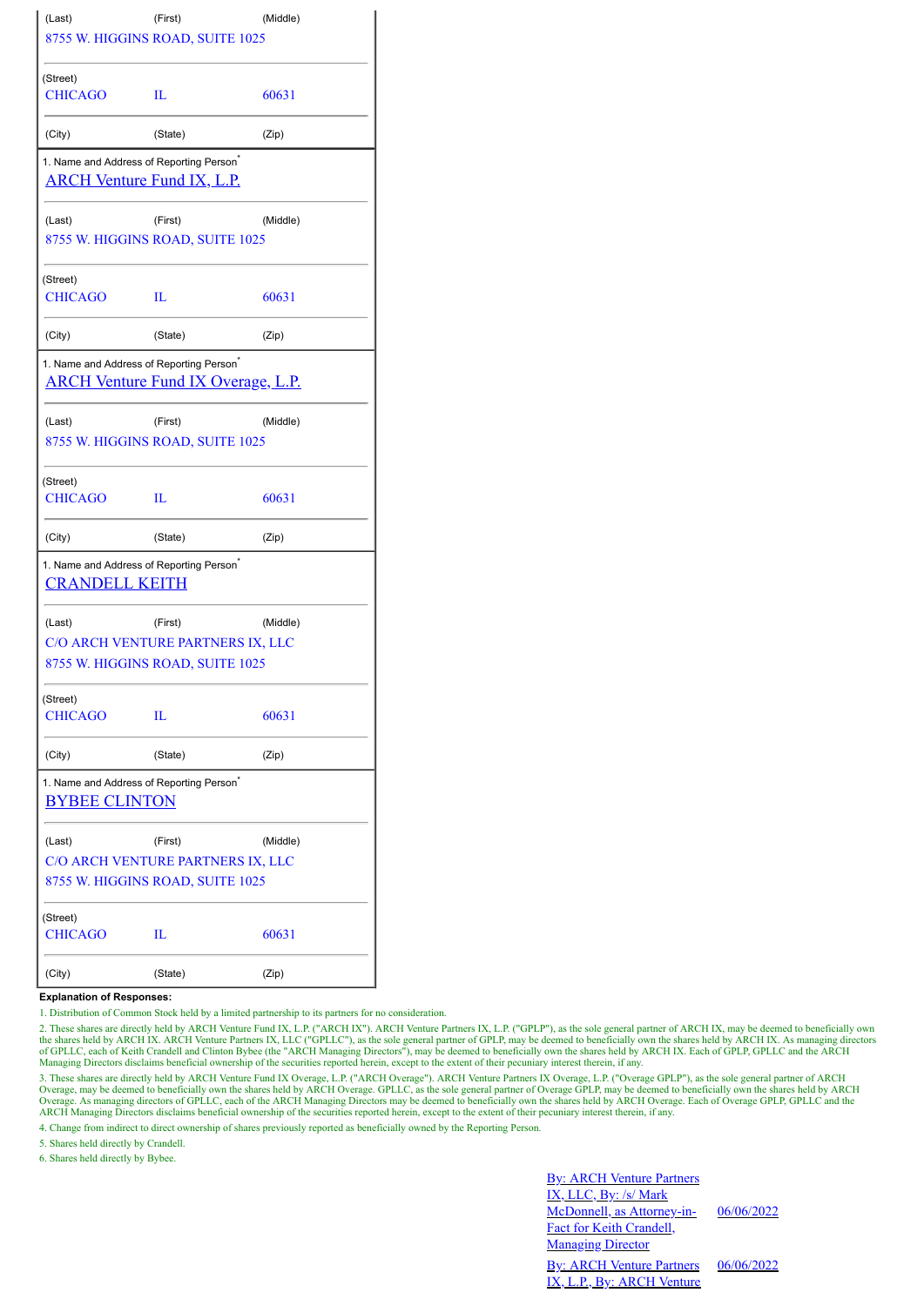| (Last)                                               | (First)                                   | (Middle) |  |  |  |  |
|------------------------------------------------------|-------------------------------------------|----------|--|--|--|--|
|                                                      | 8755 W. HIGGINS ROAD, SUITE 1025          |          |  |  |  |  |
| (Street)                                             |                                           |          |  |  |  |  |
| <b>CHICAGO</b>                                       | п                                         | 60631    |  |  |  |  |
| (City)                                               | (State)                                   | (Zip)    |  |  |  |  |
| 1. Name and Address of Reporting Person <sup>*</sup> |                                           |          |  |  |  |  |
| <u>ARCH Venture Fund IX, L.P.</u>                    |                                           |          |  |  |  |  |
| (Last)                                               | (First)                                   | (Middle) |  |  |  |  |
|                                                      | 8755 W. HIGGINS ROAD, SUITE 1025          |          |  |  |  |  |
| (Street)                                             |                                           |          |  |  |  |  |
| <b>CHICAGO</b>                                       | Ш                                         | 60631    |  |  |  |  |
| (City)                                               | (State)                                   | (Zip)    |  |  |  |  |
| 1. Name and Address of Reporting Person <sup>*</sup> |                                           |          |  |  |  |  |
|                                                      | <b>ARCH Venture Fund IX Overage, L.P.</b> |          |  |  |  |  |
| (Last)                                               | (First)                                   | (Middle) |  |  |  |  |
|                                                      | 8755 W. HIGGINS ROAD, SUITE 1025          |          |  |  |  |  |
| (Street)                                             |                                           |          |  |  |  |  |
| <b>CHICAGO</b>                                       | П.                                        | 60631    |  |  |  |  |
| (City)                                               | (State)                                   | (Zip)    |  |  |  |  |
| 1. Name and Address of Reporting Person <sup>®</sup> |                                           |          |  |  |  |  |
| <b>CRANDELL KEITH</b>                                |                                           |          |  |  |  |  |
| (Last)                                               | (First)                                   | (Middle) |  |  |  |  |
|                                                      | C/O ARCH VENTURE PARTNERS IX, LLC         |          |  |  |  |  |
|                                                      | 8755 W. HIGGINS ROAD, SUITE 1025          |          |  |  |  |  |
| (Street)                                             |                                           |          |  |  |  |  |
| <b>CHICAGO</b>                                       | IL                                        | 60631    |  |  |  |  |
| (City)                                               | (State)                                   | (Zip)    |  |  |  |  |
| 1. Name and Address of Reporting Person <sup>*</sup> |                                           |          |  |  |  |  |
| <b>BYBEE CLINTON</b>                                 |                                           |          |  |  |  |  |
| (Last)                                               | (First)                                   | (Middle) |  |  |  |  |
|                                                      | C/O ARCH VENTURE PARTNERS IX, LLC         |          |  |  |  |  |
|                                                      | 8755 W. HIGGINS ROAD, SUITE 1025          |          |  |  |  |  |
| (Street)                                             |                                           |          |  |  |  |  |
| <b>CHICAGO</b>                                       | Ш                                         | 60631    |  |  |  |  |
| (City)                                               | (State)                                   | (Zip)    |  |  |  |  |

## **Explanation of Responses:**

1. Distribution of Common Stock held by a limited partnership to its partners for no consideration.

2. These shares are directly held by ARCH Venture Fund IX, L.P. ("ARCH IX"). ARCH Venture Partners IX, L.P. ("GPLP"), as the sole general partner of ARCH IX, may be deemed to beneficially own the shares held by ARCH IX. ARCH Venture Partners IX, LLC ("GPLLC"), as the sole general partner of GPLP, may be deemed to beneficially own the shares held by ARCH IX. As managing directors<br>of GPLLC, each of Keith Crandell

3. These shares are directly held by ARCH Venture Fund IX Overage, L.P. ("ARCH Overage"). ARCH Venture Partners IX Overage, L.P. ("Overage GPLP"), as the sole general partner of ARCH Overage. Depends to beneficially own th

4. Change from indirect to direct ownership of shares previously reported as beneficially owned by the Reporting Person.

5. Shares held directly by Crandell.

6. Shares held directly by Bybee.

**By: ARCH Venture Partners** IX, LLC, By: /s/ Mark McDonnell, as Attorney-in-Fact for Keith Crandell, **Managing Director** 

06/06/2022

By: ARCH Venture Partners IX, L.P., By: ARCH Venture 06/06/2022